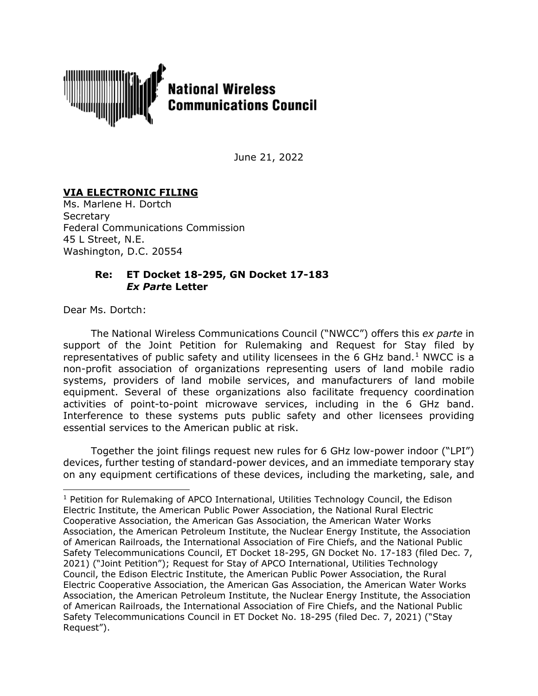

June 21, 2022

## **VIA ELECTRONIC FILING**

Ms. Marlene H. Dortch **Secretary** Federal Communications Commission 45 L Street, N.E. Washington, D.C. 20554

## **Re: ET Docket 18-295, GN Docket 17-183**  *Ex Part***e Letter**

Dear Ms. Dortch:

The National Wireless Communications Council ("NWCC") offers this *ex parte* in support of the Joint Petition for Rulemaking and Request for Stay filed by representatives of public safety and utility licensees in the 6 GHz band.<sup>[1](#page-0-0)</sup> NWCC is a non-profit association of organizations representing users of land mobile radio systems, providers of land mobile services, and manufacturers of land mobile equipment. Several of these organizations also facilitate frequency coordination activities of point-to-point microwave services, including in the 6 GHz band. Interference to these systems puts public safety and other licensees providing essential services to the American public at risk.

Together the joint filings request new rules for 6 GHz low-power indoor ("LPI") devices, further testing of standard-power devices, and an immediate temporary stay on any equipment certifications of these devices, including the marketing, sale, and

<span id="page-0-0"></span><sup>&</sup>lt;sup>1</sup> Petition for Rulemaking of APCO International, Utilities Technology Council, the Edison Electric Institute, the American Public Power Association, the National Rural Electric Cooperative Association, the American Gas Association, the American Water Works Association, the American Petroleum Institute, the Nuclear Energy Institute, the Association of American Railroads, the International Association of Fire Chiefs, and the National Public Safety Telecommunications Council, ET Docket 18-295, GN Docket No. 17-183 (filed Dec. 7, 2021) ("Joint Petition"); Request for Stay of APCO International, Utilities Technology Council, the Edison Electric Institute, the American Public Power Association, the Rural Electric Cooperative Association, the American Gas Association, the American Water Works Association, the American Petroleum Institute, the Nuclear Energy Institute, the Association of American Railroads, the International Association of Fire Chiefs, and the National Public Safety Telecommunications Council in ET Docket No. 18-295 (filed Dec. 7, 2021) ("Stay Request").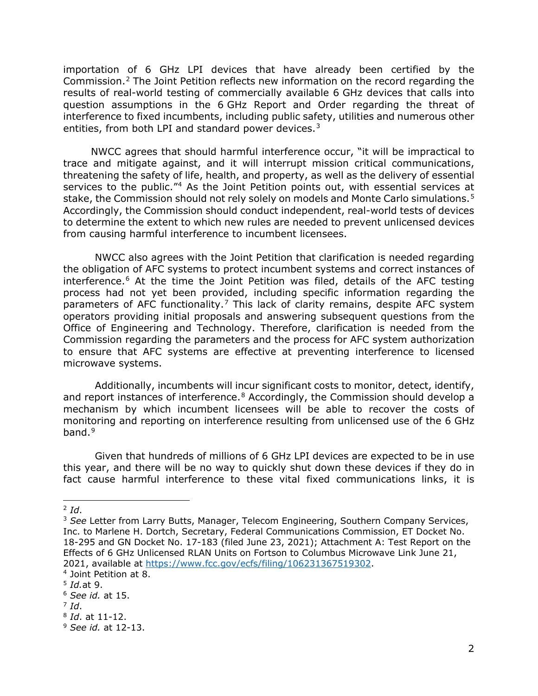importation of 6 GHz LPI devices that have already been certified by the Commission.[2](#page-1-0) The Joint Petition reflects new information on the record regarding the results of real-world testing of commercially available 6 GHz devices that calls into question assumptions in the 6 GHz Report and Order regarding the threat of interference to fixed incumbents, including public safety, utilities and numerous other entities, from both LPI and standard power devices. $3$ 

NWCC agrees that should harmful interference occur, "it will be impractical to trace and mitigate against, and it will interrupt mission critical communications, threatening the safety of life, health, and property, as well as the delivery of essential services to the public."<sup>[4](#page-1-2)</sup> As the Joint Petition points out, with essential services at stake, the Commission should not rely solely on models and Monte Carlo simulations.<sup>[5](#page-1-3)</sup> Accordingly, the Commission should conduct independent, real-world tests of devices to determine the extent to which new rules are needed to prevent unlicensed devices from causing harmful interference to incumbent licensees.

NWCC also agrees with the Joint Petition that clarification is needed regarding the obligation of AFC systems to protect incumbent systems and correct instances of interference.<sup>[6](#page-1-4)</sup> At the time the Joint Petition was filed, details of the AFC testing process had not yet been provided, including specific information regarding the parameters of AFC functionality.<sup>[7](#page-1-5)</sup> This lack of clarity remains, despite AFC system operators providing initial proposals and answering subsequent questions from the Office of Engineering and Technology. Therefore, clarification is needed from the Commission regarding the parameters and the process for AFC system authorization to ensure that AFC systems are effective at preventing interference to licensed microwave systems.

Additionally, incumbents will incur significant costs to monitor, detect, identify, and report instances of interference.<sup>[8](#page-1-6)</sup> Accordingly, the Commission should develop a mechanism by which incumbent licensees will be able to recover the costs of monitoring and reporting on interference resulting from unlicensed use of the 6 GHz band.<sup>[9](#page-1-7)</sup>

Given that hundreds of millions of 6 GHz LPI devices are expected to be in use this year, and there will be no way to quickly shut down these devices if they do in fact cause harmful interference to these vital fixed communications links, it is

<span id="page-1-1"></span><span id="page-1-0"></span><sup>&</sup>lt;sup>2</sup> *Id*.<br><sup>3</sup> See Letter from Larry Butts, Manager, Telecom Engineering, Southern Company Services, Inc. to Marlene H. Dortch, Secretary, Federal Communications Commission, ET Docket No. 18-295 and GN Docket No. 17-183 (filed June 23, 2021); Attachment A: Test Report on the Effects of 6 GHz Unlicensed RLAN Units on Fortson to Columbus Microwave Link June 21, 2021, available at [https://www.fcc.gov/ecfs/filing/106231367519302.](https://www.fcc.gov/ecfs/filing/106231367519302)<br>4 Joint Petition at 8.

<span id="page-1-2"></span>

<span id="page-1-3"></span><sup>5</sup> *Id.*at 9.

<span id="page-1-4"></span><sup>6</sup> *See id.* at 15.

<span id="page-1-7"></span>

<span id="page-1-6"></span><span id="page-1-5"></span><sup>&</sup>lt;sup>7</sup> *Id*.<br><sup>8</sup> *Id*. at 11-12.<br><sup>9</sup> *See id.* at 12-13.